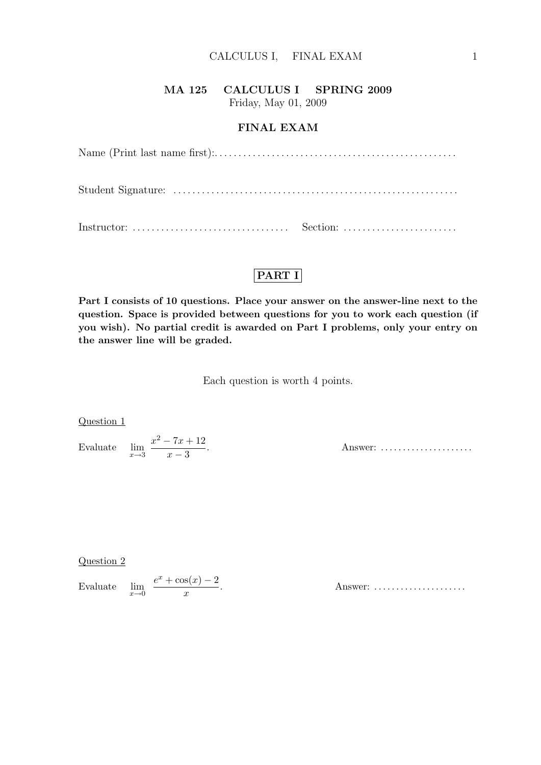### MA 125 CALCULUS I SPRING 2009 Friday, May 01, 2009

FINAL EXAM

## PART I

Part I consists of 10 questions. Place your answer on the answer-line next to the question. Space is provided between questions for you to work each question (if you wish). No partial credit is awarded on Part I problems, only your entry on the answer line will be graded.

Each question is worth 4 points.

Question 1

Evaluate  $\lim_{x\to 3}$  $x^2 - 7x + 12$  $x - 3$ 

Answer: ......................

Question 2

Evaluate  $\lim_{x\to 0}$  $e^x + \cos(x) - 2$  $\boldsymbol{x}$ 

. Answer: . . . . . . . . . . . . . . . . . . . . .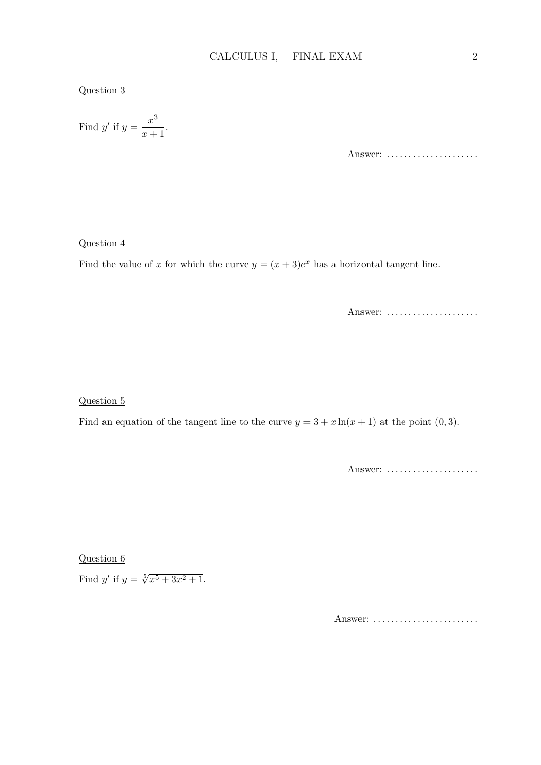#### Question 3

Find y' if 
$$
y = \frac{x^3}{x+1}
$$
.

Answer: ......................

#### Question 4

Find the value of x for which the curve  $y = (x+3)e^x$  has a horizontal tangent line.

Answer: ......................

Question 5

Find an equation of the tangent line to the curve  $y = 3 + x \ln(x + 1)$  at the point  $(0, 3)$ .

Answer: ......................

Question 6

Find y' if  $y = \sqrt[5]{x^5 + 3x^2 + 1}$ .

Answer: .........................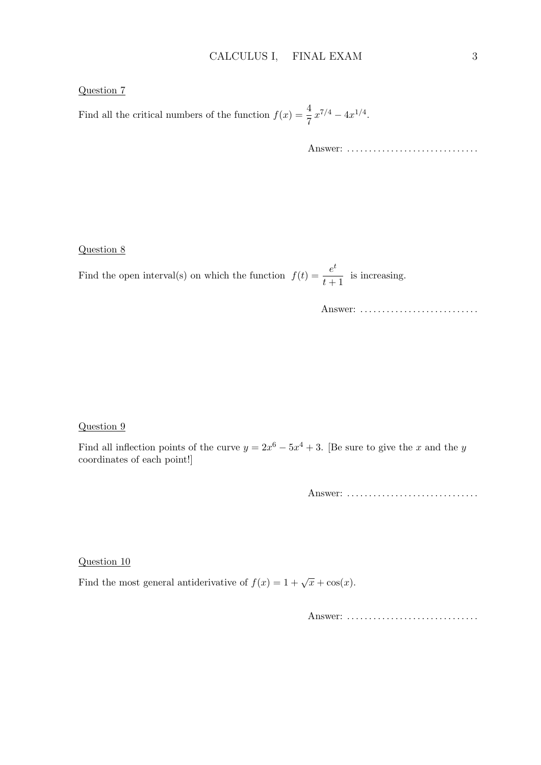#### Question 7

Find all the critical numbers of the function  $f(x) = \frac{4}{7}x^{7/4} - 4x^{1/4}$ .

Answer: . . . . . . . . . . . . . . . . . . . . . . . . . . . . . .

#### Question 8

Find the open interval(s) on which the function  $f(t) = \frac{e^t}{t}$  $\frac{c}{t+1}$  is increasing.

Answer: .............................

#### Question 9

Find all inflection points of the curve  $y = 2x^6 - 5x^4 + 3$ . [Be sure to give the x and the y coordinates of each point!]

Answer: .................................

Question 10

Find the most general antiderivative of  $f(x) = 1 + \sqrt{x} + \cos(x)$ .

Answer: .................................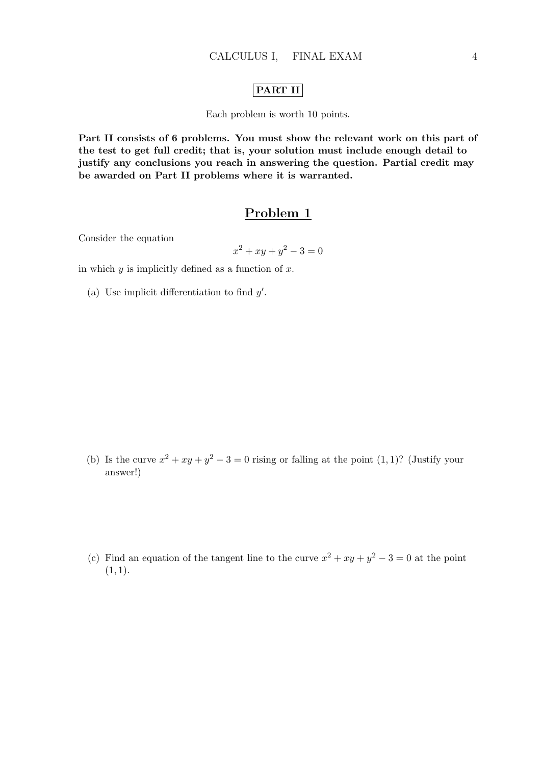### PART II

Each problem is worth 10 points.

Part II consists of 6 problems. You must show the relevant work on this part of the test to get full credit; that is, your solution must include enough detail to justify any conclusions you reach in answering the question. Partial credit may be awarded on Part II problems where it is warranted.

### Problem 1

Consider the equation

$$
x^2 + xy + y^2 - 3 = 0
$$

in which  $y$  is implicitly defined as a function of  $x$ .

(a) Use implicit differentiation to find  $y'$ .

- (b) Is the curve  $x^2 + xy + y^2 3 = 0$  rising or falling at the point  $(1, 1)$ ? (Justify your answer!)
- (c) Find an equation of the tangent line to the curve  $x^2 + xy + y^2 3 = 0$  at the point  $(1, 1).$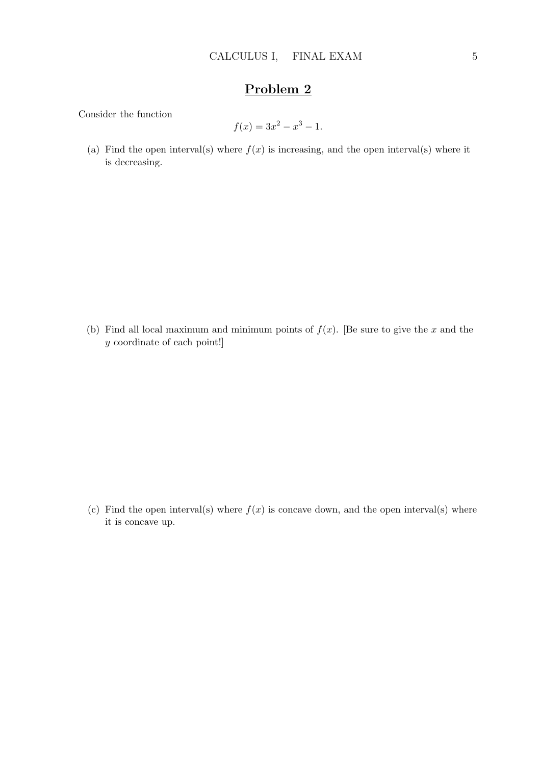Consider the function

$$
f(x) = 3x^2 - x^3 - 1.
$$

(a) Find the open interval(s) where  $f(x)$  is increasing, and the open interval(s) where it is decreasing.

(b) Find all local maximum and minimum points of  $f(x)$ . [Be sure to give the x and the y coordinate of each point!]

(c) Find the open interval(s) where  $f(x)$  is concave down, and the open interval(s) where it is concave up.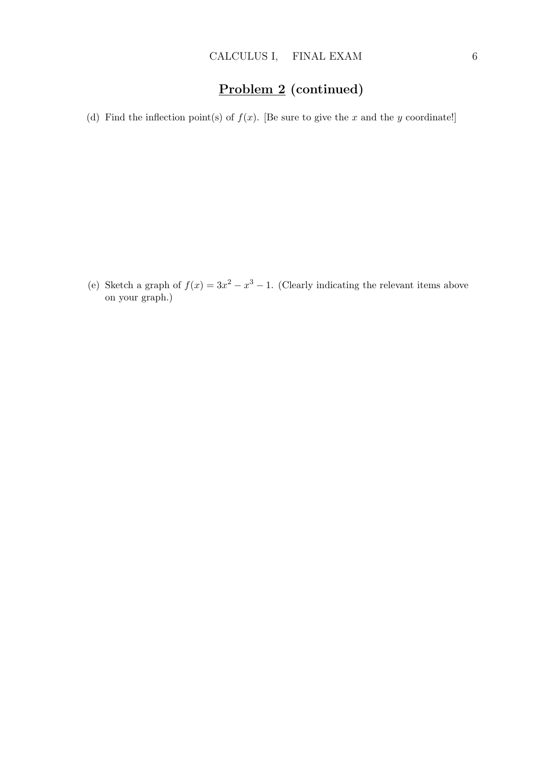# Problem 2 (continued)

(d) Find the inflection point(s) of  $f(x)$ . [Be sure to give the x and the y coordinate!]

(e) Sketch a graph of  $f(x) = 3x^2 - x^3 - 1$ . (Clearly indicating the relevant items above on your graph.)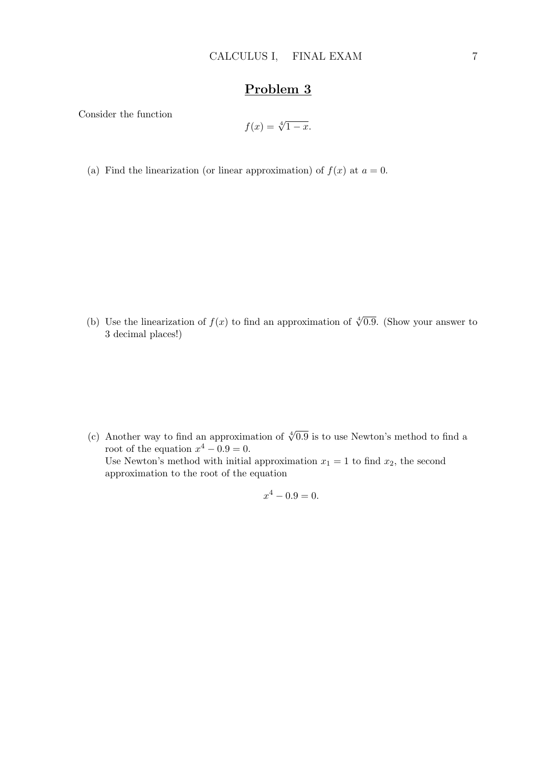Consider the function

$$
f(x) = \sqrt[4]{1-x}.
$$

(a) Find the linearization (or linear approximation) of  $f(x)$  at  $a = 0$ .

(b) Use the linearization of  $f(x)$  to find an approximation of  $\sqrt[4]{0.9}$ . (Show your answer to 3 decimal places!)

(c) Another way to find an approximation of  $\sqrt[4]{0.9}$  is to use Newton's method to find a root of the equation  $x^4 - 0.9 = 0$ . Use Newton's method with initial approximation  $x_1 = 1$  to find  $x_2$ , the second approximation to the root of the equation

$$
x^4 - 0.9 = 0.
$$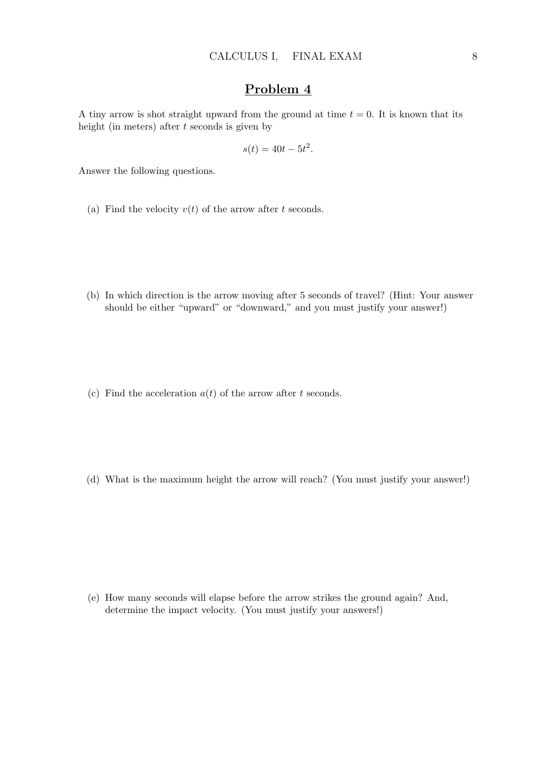A tiny arrow is shot straight upward from the ground at time  $t = 0$ . It is known that its height (in meters) after t seconds is given by

$$
s(t) = 40t - 5t^2.
$$

Answer the following questions.

- (a) Find the velocity  $v(t)$  of the arrow after t seconds.
- (b) In which direction is the arrow moving after 5 seconds of travel? (Hint: Your answer should be either "upward" or "downward," and you must justify your answer!)
- (c) Find the acceleration  $a(t)$  of the arrow after t seconds.
- (d) What is the maximum height the arrow will reach? (You must justify your answer!)

(e) How many seconds will elapse before the arrow strikes the ground again? And, determine the impact velocity. (You must justify your answers!)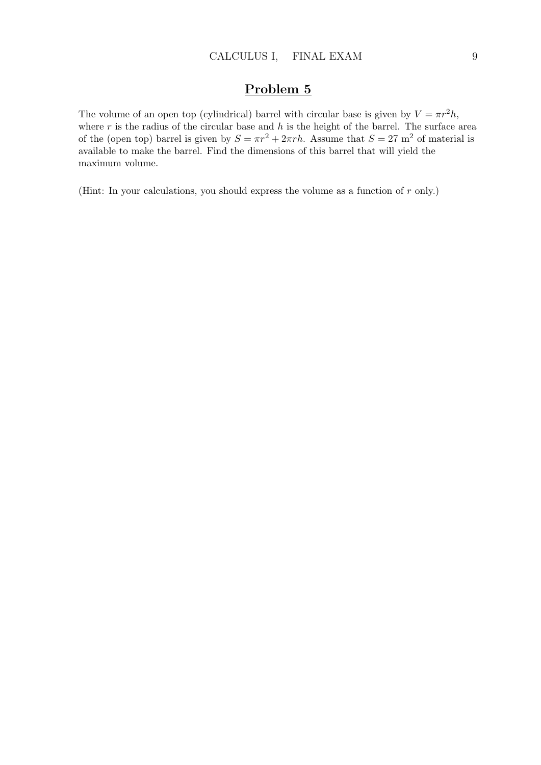The volume of an open top (cylindrical) barrel with circular base is given by  $V = \pi r^2 h$ , where r is the radius of the circular base and h is the height of the barrel. The surface area of the (open top) barrel is given by  $S = \pi r^2 + 2\pi rh$ . Assume that  $S = 27$  m<sup>2</sup> of material is available to make the barrel. Find the dimensions of this barrel that will yield the maximum volume.

(Hint: In your calculations, you should express the volume as a function of r only.)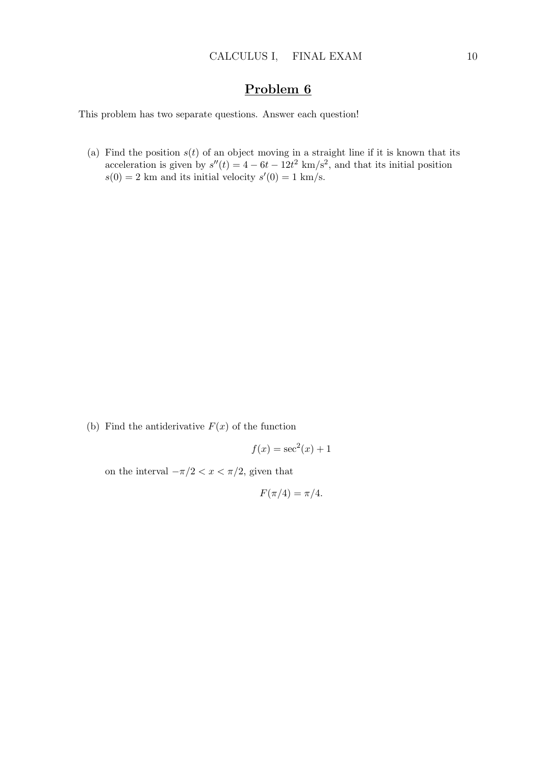This problem has two separate questions. Answer each question!

(a) Find the position  $s(t)$  of an object moving in a straight line if it is known that its acceleration is given by  $s''(t) = 4 - 6t - 12t^2$  km/s<sup>2</sup>, and that its initial position  $s(0) = 2$  km and its initial velocity  $s'(0) = 1$  km/s.

(b) Find the antiderivative  $F(x)$  of the function

$$
f(x) = \sec^2(x) + 1
$$

on the interval  $-\pi/2 < x < \pi/2$ , given that

$$
F(\pi/4) = \pi/4.
$$